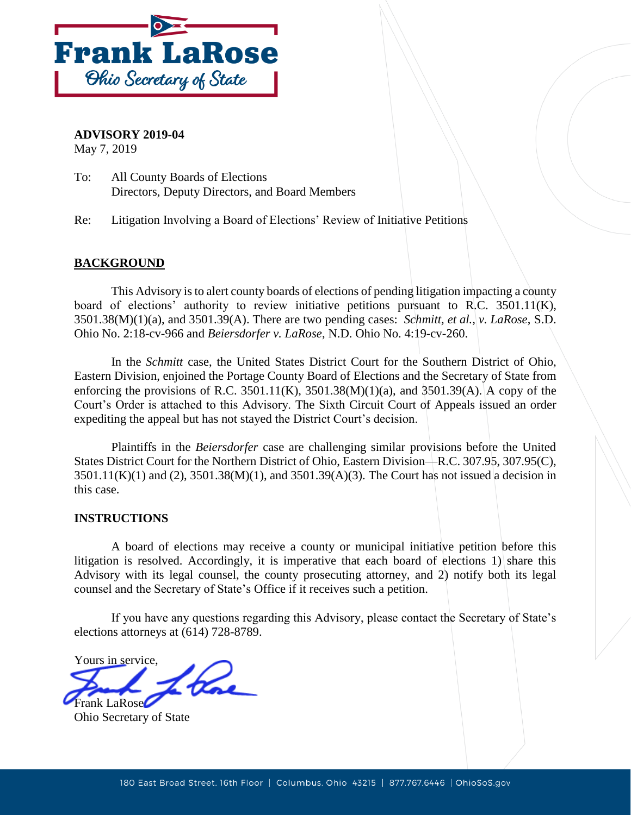

**ADVISORY 2019-04** 

May 7, 2019

To: All County Boards of Elections Directors, Deputy Directors, and Board Members

Re: Litigation Involving a Board of Elections' Review of Initiative Petitions

# **BACKGROUND**

 This Advisory is to alert county boards of elections of pending litigation impacting a county board of elections' authority to review initiative petitions pursuant to R.C.  $3501.11(K)$ , 3501.38(M)(1)(a), and 3501.39(A). There are two pending cases: *Schmitt, et al., v. LaRose*, S.D. Ohio No. 2:18-cv-966 and Beiersdorfer v. LaRose, N.D. Ohio No. 4:19-cv-260.

In the *Schmitt* case, the United States District Court for the Southern District of Ohio, Eastern Division, enjoined the Portage County Board of Elections and the Secretary of State from enforcing the provisions of R.C. 3501.11(K), 3501.38(M)(1)(a), and 3501.39(A). A copy of the Court's Order is attached to this Advisory. The Sixth Circuit Court of Appeals issued an order expediting the appeal but has not stayed the District Court's decision.

 Plaintiffs in the *Beiersdorfer* case are challenging similar provisions before the United  $3501.11(K)(1)$  and  $(2)$ ,  $3501.38(M)(1)$ , and  $3501.39(A)(3)$ . The Court has not issued a decision in States District Court for the Northern District of Ohio, Eastern Division—R.C. 307.95, 307.95(C), this case.

### **INSTRUCTIONS**

 A board of elections may receive a county or municipal initiative petition before this Advisory with its legal counsel, the county prosecuting attorney, and 2) notify both its legal litigation is resolved. Accordingly, it is imperative that each board of elections 1) share this counsel and the Secretary of State's Office if it receives such a petition.

 If you have any questions regarding this Advisory, please contact the Secretary of State's elections attorneys at (614) 728-8789.

Yours in service, Frank LaRose

Ohio Secretary of State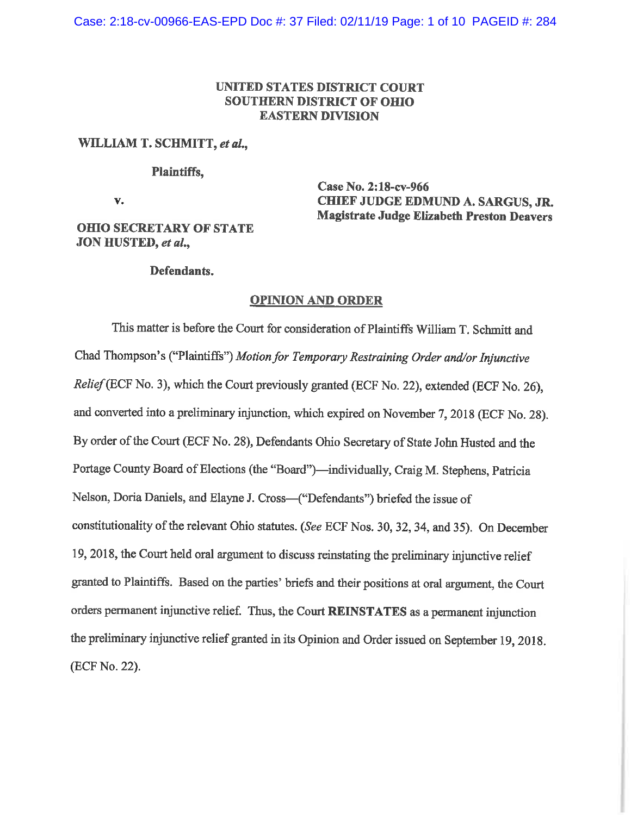## **UNITED STATES DISTRICT COURT SOUTHERN DISTRICT OF omo EASTERN DIVISION**

#### **WILLIAM T. SCHMITT,** *et al.,*

#### **Plaintiffs,**

**v.** 

**Case No. 2:18-cv-966 CHIEF JUDGE EDMUND A. SARGUS, JR. Magistrate Judge Elizabeth Preston Deavers** 

## **omo SECRETARY OF STATE JON HUSTED,** *et al.,*

#### **Defendants.**

#### **OPINION AND ORDER**

This matter is before the Court for consideration of Plaintiffs William T. Schmitt and Chad Thompson's ("Plaintiffs") *Motion for Temporary Restraining Order and/or Injunctive Relief(ECF* No. 3), which the Court previously granted (ECF No. 22), extended (ECF No. 26), and converted into a preliminary injunction, which expired on November 7, 2018 (ECF No. 28). By order of the Court (ECF No. 28), Defendants Ohio Secretary of State John Husted and the Portage County Board of Elections (the "Board")-individually, Craig M. Stephens, Patricia Nelson, Doria Daniels, and Elayne J. Cross-("Defendants") briefed the issue of constitutionality of the relevant Ohio statutes. *(See* ECF Nos. 30, 32, 34, and 35). On December 19, 2018, the Court held oral argument to discuss reinstating the preliminary injunctive relief granted to Plaintiffs. Based on the parties' briefs and their positions at oral argument, the Court orders permanent injunctive relief. Thus, the Court **REINSTATES** as a permanent injunction the preliminary injunctive relief granted in its Opinion and Order issued on September 19, 2018. (ECF No. 22).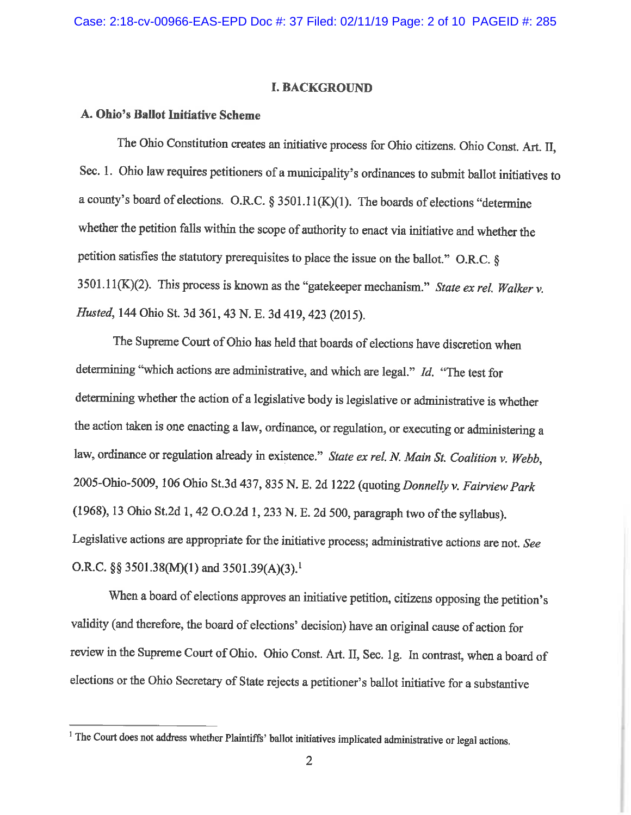#### I. **BACKGROUND**

## **A. Ohio's Ballot Initiative Scheme**

The Ohio Constitution creates an initiative process for Ohio citizens. Ohio Const. Art. II, Sec. 1. Ohio law requires petitioners of a municipality's ordinances to submit ballot initiatives to a county's board of elections. O.R.C. § 3501.11(K)(1). The boards of elections "determine whether the petition falls within the scope of authority to enact via initiative and whether the petition satisfies the statutory prerequisites to place the issue on the ballot.'' O.R.C. § 3501.1 l(K.)(2). This process is known as the "gatekeeper mechanism." *State ex rel. Walker* v. *Husted,* 144 Ohio St. 3d 361, 43 N. E. 3d 419,423 (2015).

The Supreme Court of Ohio has held that boards of elections have discretion when determining "which actions are administrative, and which are legal." *Id.* "The test for determining whether the action of a legislative body is legislative or administrative is whether the action taken is one enacting a law, ordinance, or regulation, or executing or administering a law, ordinance or regulation already in existence." *State ex rel. N Main St. Coalition v. Webb,*  2005-Ohio-5009, 106 Ohio St.3d 437,835 N. E. 2d 1222 (quoting *Donnelly v. Fairview Park*  (1968), 13 Ohio St.2d 1, 42 O.O.2d 1,233 N. E. 2d 500, paragraph two of the syllabus). Legislative actions are appropriate for the initiative process; administrative actions are not. *Se<sup>e</sup>* O.R.C. §§ 3501.38(M)(1) and 3501.39(A)(3).<sup>1</sup>

When a board of elections approves an initiative petition, citizens opposing the petition's validity ( and therefore, the board of elections' decision) have an original cause of action for review in the Supreme Court of Ohio. Ohio Const. Art. II, Sec. lg. In contrast, when a board of elections or the Ohio Secretary of State rejects a petitioner's ballot initiative for a substantive

<sup>&</sup>lt;sup>1</sup> The Court does not address whether Plaintiffs' ballot initiatives implicated administrative or legal actions.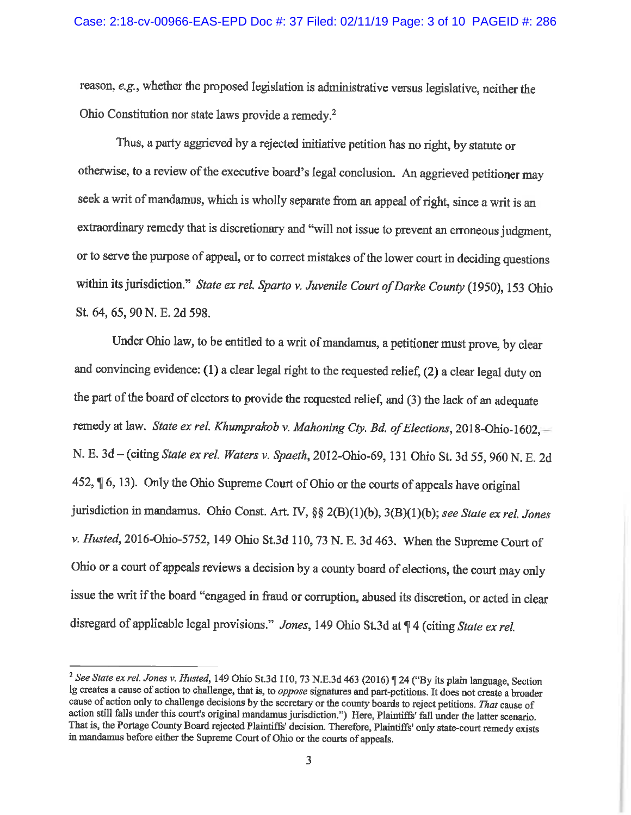reason, *e.g.,* whether the proposed legislation is administrative versus legislative, neither the Ohio Constitution nor state laws provide a remedy.<sup>2</sup>

Thus, a party aggrieved by a rejected initiative petition has no right, by statute or otherwise, to a review of the executive board's legal conclusion. An aggrieved petitioner may seek a writ of mandamus, which is wholly separate from an appeal of right, since a writ is an extraordinary remedy that is discretionary and "will not issue to prevent an erroneous judgment, or to serve the purpose of appeal, or to correct mistakes of the lower court in deciding questions within its jurisdiction." *State ex rel. Sparto v. Juvenile Court of Darke County* (1950), 153 Ohio St. 64, 65, 90 N. E. 2d 598.

Under Ohio law, to be entitled to a writ of mandamus, a petitioner must prove, by clear and convincing evidence: (1) a clear legal right to the requested relief, (2) a clear legal duty on the part of the board of electors to provide the requested relief, and (3) the lack of an adequate remedy at law. *State ex rel. Khumprakob v. Mahoning Cty. Bd. of Elections*, 2018-Ohio-1602,-N. E. 3d-(citing *State ex rel. Waters v. Spaeth,* 2012-Ohio-69, 131 Ohio St. 3d 55, 960 N. E. 2d 452,  $\P$  6, 13). Only the Ohio Supreme Court of Ohio or the courts of appeals have original jurisdiction in mandamus. Ohio Const. Art. N, §§ 2(B)(l)(b), 3(B){l)(b); *see State ex rel. Jones v. Husted,* 2016-Ohio-5752, 149 Ohio St.3d 110, 73 N. E. 3d 463. When the Supreme Court of Ohio or a court of appeals reviews a decision by a county board of elections, the court may only issue the writ if the board "engaged in fraud or corruption, abused its discretion, or acted in clear disregard of applicable legal provisions." *Jones*, 149 Ohio St.3d at  $\P$  4 (citing *State ex rel.* 

<sup>&</sup>lt;sup>2</sup> See State ex rel. Jones v. Husted, 149 Ohio St.3d 110, 73 N.E.3d 463 (2016) ¶ 24 ("By its plain language, Section lg creates a cause of action to challenge, that is, to *oppose* signatures and part-petitions. It does not create a broader cause of action only to challenge decisions by the secretary or the county boards to reject petitions. *That* cause of action still falls under this court's original mandamus jurisdiction.") Here, Plaintiffs' fall under the latter scenario. That is, the Portage County Board rejected Plaintiffs' decision. Therefore, Plaintiffs' only state-court remedy exists in mandamus before either the Supreme Court of Ohio or the courts of appeals.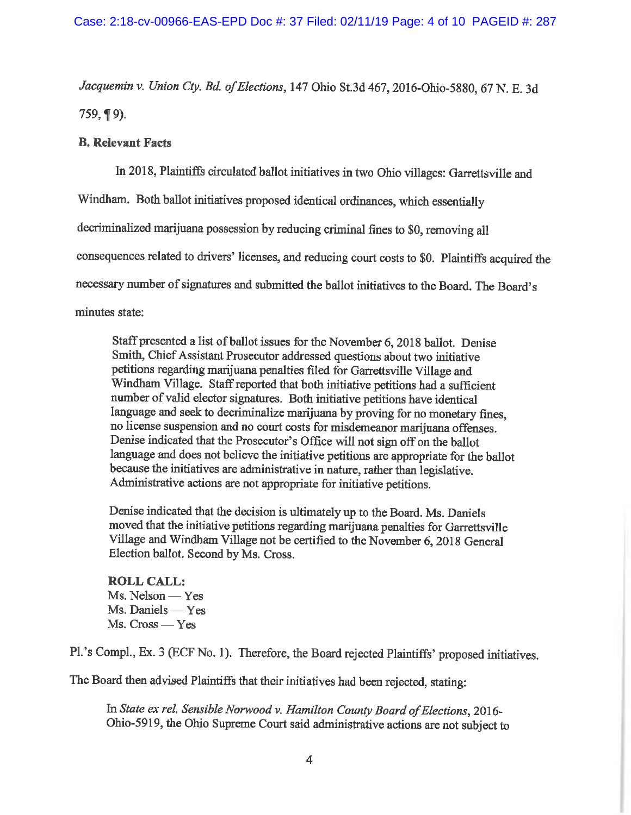*Jacquemin v. Union Cty. Bd. of Elections,* 147 Ohio St.3d 467, 2016-Ohio-5880, 67 N. E. 3d  $759, \P 9$ ).

#### **B. Relevant Facts**

In 2018, Plaintiffs circulated ballot initiatives in two Ohio villages: Garrettsville and

Windham. Both ballot initiatives proposed identical ordinances, which essentially

decriminalized marijuana possession by reducing criminal fines to \$0, removing all

consequences related to drivers' licenses, and reducing court costs to \$0. Plaintiffs acquired the

necessary number of signatures and submitted the ballot initiatives to the Board. The Board's

minutes state:

Staff presented a list of ballot issues for the November 6, 2018 ballot. Denise Smith, Chief Assistant Prosecutor addressed questions about two initiative petitions regarding marijuana penalties filed for Garrettsville Village and Windham Village. Staff reported that both initiative petitions had a sufficient number of valid elector signatures. Both initiative petitions have identical language and seek to decriminalize marijuana by proving for no monetary fines, no license suspension and no court costs for misdemeanor marijuana offenses. Denise indicated that the Prosecutor's Office will not sign off on the ballot language and does not believe the initiative petitions are appropriate for the ballot because the initiatives are administrative in nature, rather than legislative. Administrative actions are not appropriate for initiative petitions.

Denise indicated that the decision is ultimately up to the Board. Ms. Daniels moved that the initiative petitions regarding marijuana penalties for Garrettsville Village and Windham Village not be certified to the November 6, 2018 General Election ballot. Second by Ms. Cross.

## **ROLL CALL:**   $Ms.$  Nelson  $-$  Yes Ms. Daniels - Yes  $Ms. Cross - Yes$

Pl. 's Compl., Ex. 3 (ECF No. **1).** Therefore, the Board rejected Plaintiffs' proposed initiatives.

The Board then advised Plaintiffs that their initiatives had been rejected, stating:

In *State ex rel. Sensible Norwood v. Hamilton County Board of Elections,* 2016- Ohio-5919, the Ohio Supreme Court said administrative actions are not subject to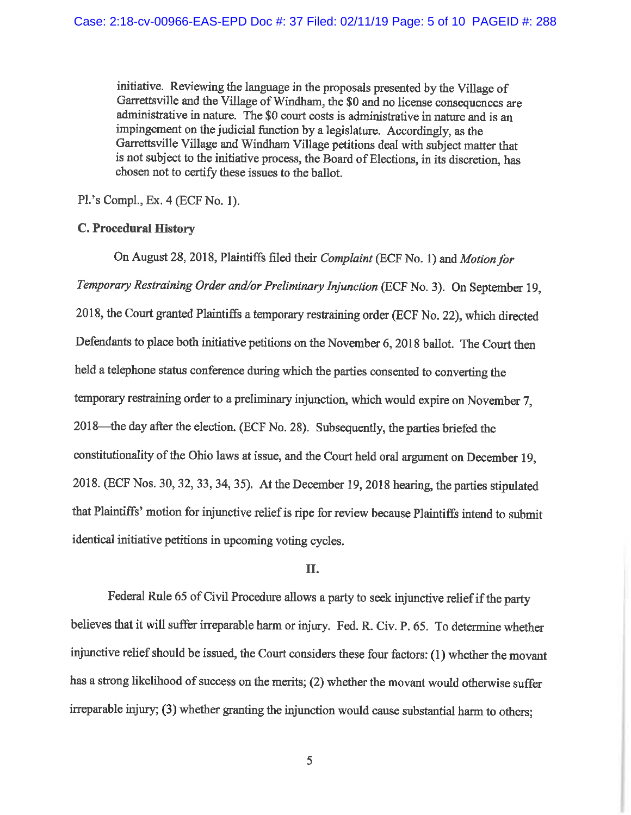initiative. Reviewing the language in the proposals presented by the Village of Garrettsville and the Village of Windham, the \$0 and no license consequences are administrative in nature. The \$0 court costs is administrative in nature and is an impingement on the judicial function by a legislature. Accordingly, as the Garrettsville Village and Windham Village petitions deal with subject matter that is not subject to the initiative process, the Board of Elections, in its discretion, has chosen not to certify these issues to the ballot.

Pl.'s Compl., Ex. 4 (ECF No. **1).** 

#### **C. Procedural History**

On August 28, 2018, Plaintiffs filed their *Complaint* (ECF No. 1) and *Motion for Temporary Restraining Order and/or Preliminary Injunction* (ECF No. 3). On September 19, 2018, the Court granted Plaintiffs a temporary restraining order (ECF No. 22), which directed Defendants to place both initiative petitions on the November 6, 2018 ballot. The Court then held a telephone status conference during which the parties consented to converting the temporary restraining order to a preliminary injunction, which would expire on November 7, 2018-the day after the election. (ECF No. 28). Subsequently, the parties briefed the constitutionality of the Ohio laws at issue, and the Court held oral argument on December 19, 2018. (ECF Nos. 30, 32, 33, 34, 35). At the December 19, 2018 hearing, the parties stipulated that Plaintiffs' motion for injunctive relief is ripe for review because Plaintiffs intend to submit identical initiative petitions in upcoming voting cycles.

#### II.

Federal Rule 65 of Civil Procedure allows a party to seek injunctive relief if the party believes that it will suffer irreparable harm or injury. Fed. R. Civ. P. 65. To determine whether injunctive relief should be issued, the Court considers these four factors: ( 1) whether the movant has a strong likelihood of success on the merits; (2) whether the movant would otherwise suffer irreparable injury; (3) whether granting the injunction would cause substantial harm to others;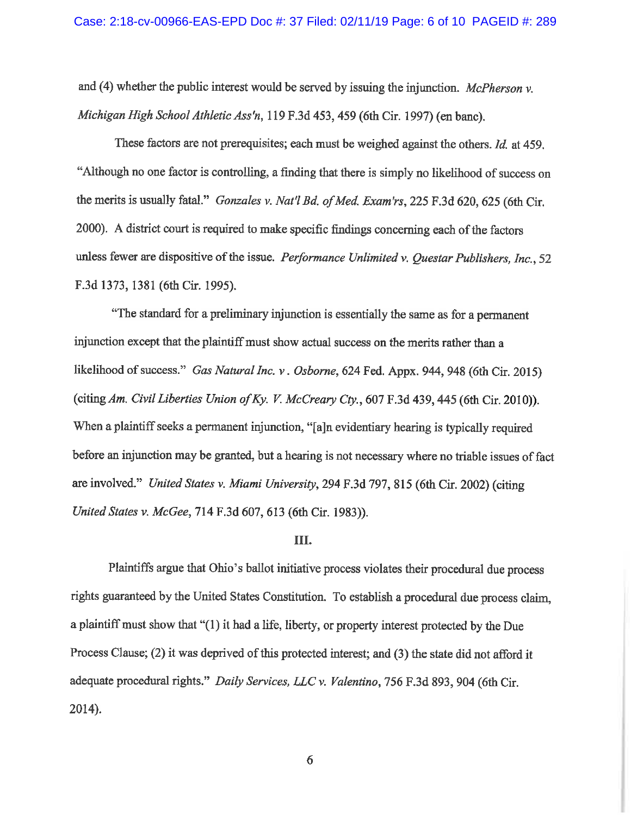and (4) whether the public interest would be served by issuing the injunction. *McPherson v. Michigan High School Athletic Ass'n,* 119 F.3d 453,459 (6th Cir. 1997) (en bane).

These factors are not prerequisites; each must be weighed against the others. *Id.* at 459. "Although no one factor is controlling, a finding that there is simply no likelihood of success on the merits is usually fatal." *Gonzales v. Nat'l Bd. of Med. Exam'rs*, 225 F.3d 620, 625 (6th Cir. 2000). A district court is required to make specific findings concerning each of the factors unless fewer are dispositive of the issue. *Performance Unlimited v. Questar Publishers, Inc.,* 52 F.3d 1373, 1381 (6th Cir. 1995).

"The standard for a preliminary injunction is essentially the same as for a permanent injunction except that the plaintiff must show actual success on the merits rather than a likelihood of success." *Gas Natural Inc. v. Osborne*, 624 Fed. Appx. 944, 948 (6th Cir. 2015) (citing *Am. Civil Liberties Union of Ky. V. McCreary Cty.,* 607 F.3d 439,445 (6th Cir. 2010)). When a plaintiff seeks a permanent injunction, "[a]n evidentiary hearing is typically required before an injunction may be granted, but a hearing is not necessary where no triable issues of fact are involved." *United States v. Miami University,* 294 F.3d 797, 815 (6th Cir. 2002) (citing *United States v. McGee,* 714 F.3d 607,613 (6th Cir. 1983)).

#### III.

Plaintiffs argue that Ohio's ballot initiative process violates their procedural due process rights guaranteed by the United States Constitution. To establish a procedural due process claim, a plaintiff must show that "(1) it had a life, liberty, or property interest protected by the Due Process Clause; (2) it was deprived of this protected interest; and (3) the state did not afford it adequate procedural rights." *Daily Services, LLC v. Valentino,* 756 F.3d 893, 904 (6th Cir. 2014).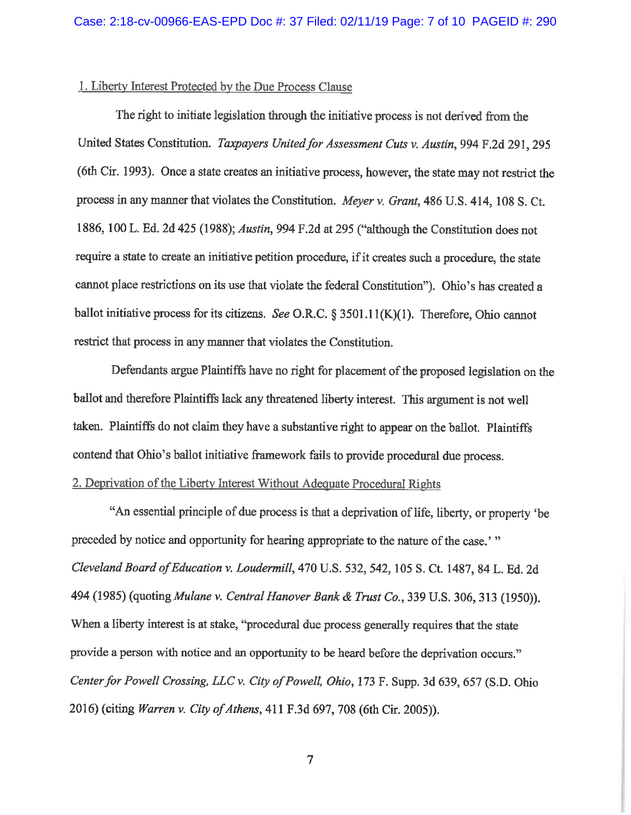#### 1. Liberty Interest Protected by the Due Process Clause

The right to initiate legislation through the initiative process is not derived from the United States Constitution. *Taxpayers United for Assessment Cuts v. Austin,* 994 F.2d 291,295 (6th Cir. 1993). Once a state creates an initiative process, however, the state may not restrict the process in any manner that violates the Constitution. *Meyer v. Grant,* 486 U.S. 414, 108 S. Ct. 1886, 100 L. Ed. 2d 425 (1988); *Austin,* 994 F .2d at 295 ("although the Constitution does not require a state to create an initiative petition procedure, if it creates such a procedure, the state cannot place restrictions on its use that violate the federal Constitution"). Ohio's has created a ballot initiative process for its citizens. *See* O.R.C. § 3501.ll(K)(l). Therefore, Ohio cannot restrict that process in any manner that violates the Constitution.

Defendants argue Plaintiffs have no right for placement of the proposed legislation on the ballot and therefore Plaintiffs lack any threatened liberty interest. This argument is not well taken. Plaintiffs do not claim they have a substantive right to appear on the ballot. Plaintiffs contend that Ohio's ballot initiative framework fails to provide procedural due process.

# 2. Deprivation of the Liberty Interest Without Adequate Procedural Rights

"An essential principle of due process is that a deprivation of life, liberty, or property 'be preceded by notice and opportunity for hearing appropriate to the nature of the case.' " *Cleveland Board of Education v. Loudermill,* 470 U.S. 532, 542, 105 S. Ct. 1487, 84 L. Ed. 2d 494 (1985) *(quotingMulane v. Central Hanover Bank* & *Trust Co.,* 339 U.S. 306,313 (1950)). When a liberty interest is at stake, "procedural due process generally requires that the state provide a person with notice and an opportunity to be heard before the deprivation occurs." *Center for Powell Crossing, LLC v. City of Powell, Ohio, 173 F. Supp. 3d 639, 657 (S.D. Ohio* 2016)(citing *Warren v. City of Athens,* 411 F.3d 697, 708 (6th Cir. 2005)).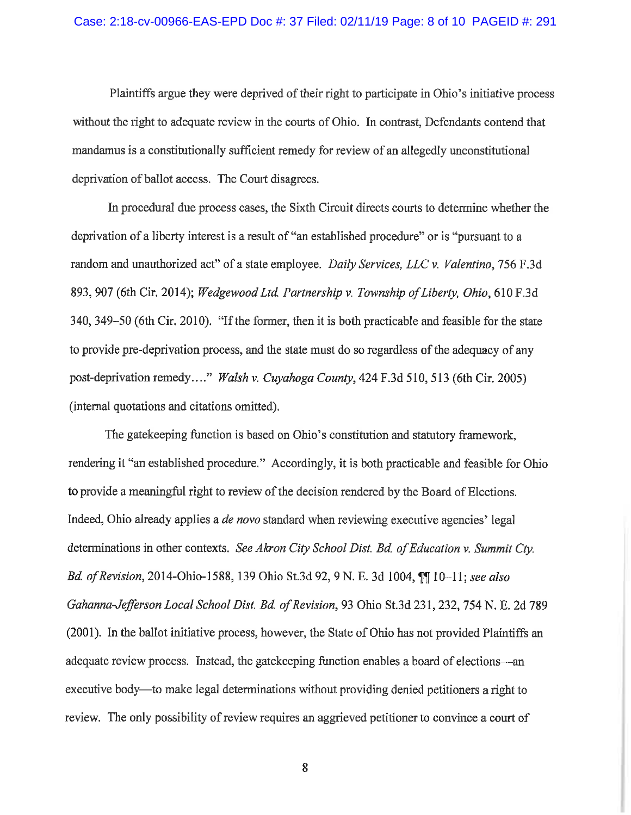Plaintiffs argue they were deprived of their right to participate in Ohio's initiative process without the right to adequate review in the courts of Ohio. In contrast, Defendants contend that mandamus is a constitutionally sufficient remedy for review of an allegedly unconstitutional deprivation of ballot access. The Court disagrees.

In procedural due process cases, the Sixth Circuit directs courts to determine whether the deprivation of a liberty interest is a result of "an established procedure" or is "pursuant to a random and unauthorized act" of a state employee. *Daily Services, LLC v. Valentino,* 756 F.3d 893, 907 (6th Cir. 2014); *Wedgewood Ltd Partnership v. Township of Liberty, Ohio,* 610 F.3d 340, 349-50 (6th Cir. 2010). "If the former, then it is both practicable and feasible for the state to provide pre-deprivation process, and the state must do so regardless of the adequacy of any post-deprivation remedy...." *Walsh v. Cuyahoga County*, 424 F.3d 510, 513 (6th Cir. 2005) (internal quotations and citations omitted).

The gatekeeping function is based on Ohio's constitution and statutory framework, rendering it "an established procedure." Accordingly, it is both practicable and feasible for Ohio to provide a meaningful right to review of the decision rendered by the Board of Elections. Indeed, Ohio already applies a *de novo* standard when reviewing executive agencies' legal determinations in other contexts. *See Akron City School Dist. Bd of Education v. Summit Cty. Bd. of Revision,* 2014-Ohio-1588, 139 Ohio St.3d 92, 9 N. E. 3d 1004,  $\P$  10-11; *see also Gahanna-Jefferson Local School Dist. Bd of Revision,* 93 Ohio St.3d 231, 232, 754 N. E. 2d 789 (2001). In the ballot initiative process, however, the State of Ohio has not provided Plaintiffs an adequate review process. Instead, the gatekeeping function enables a board of elections-an executive body—to make legal determinations without providing denied petitioners a right to review. The only possibility of review requires an aggrieved petitioner to convince a court of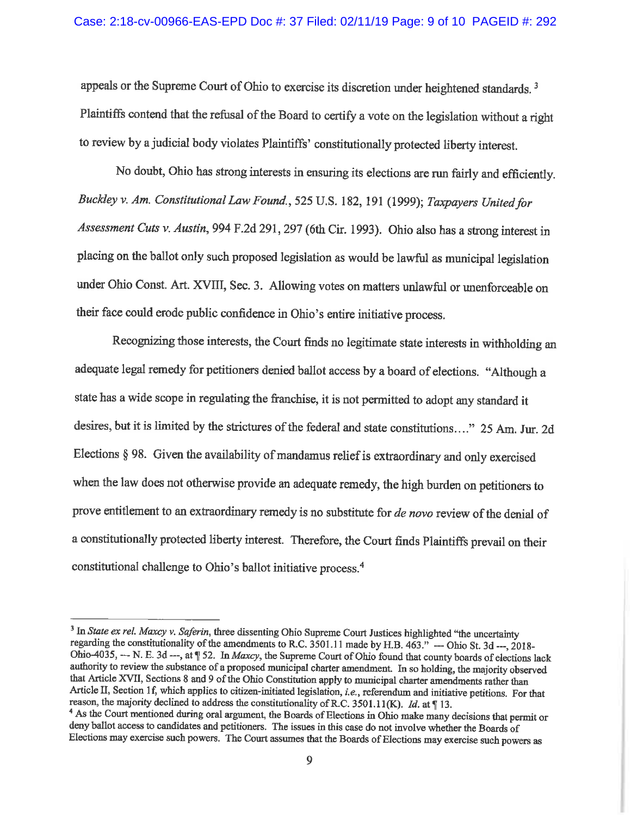appeals or the Supreme Court of Ohio to exercise its discretion under heightened standards. <sup>3</sup> Plaintiffs contend that the refusal of the Board to certify a vote on the legislation without a right to review by a judicial body violates Plaintiffs' constitutionally protected liberty interest.

No doubt, Ohio has strong interests in ensuring its elections are run fairly and efficiently. *Buckley v. Am. Constitutional* Law *Found., 525* U.S. 182, 191 (1999); *Taxpayers United for Assessment Cuts v. Austin,* 994 F.2d 291,297 (6th Cir. 1993). Ohio also has a strong interest in placing on the ballot only such proposed legislation as would be lawful as municipal legislation under Ohio Const. Art. XVIII, Sec. 3. Allowing votes on matters unlawful or unenforceable on their face could erode public confidence in Ohio's entire initiative process.

Recognizing those interests, the Court finds no legitimate state interests in withholding an adequate legal remedy for petitioners denied ballot access by a board of elections. "Although a state has a wide scope in regulating the franchise, it is not permitted to adopt any standard it desires, but it is limited by the strictures of the federal and state constitutions...." 25 Am. Jur. 2d Elections § 98. Given the availability of mandamus relief is extraordinary and only exercised when the law does not otherwise provide an adequate remedy, the high burden on petitioners to prove entitlement to an extraordinary remedy is no substitute for *de novo* review of the denial of a constitutionally protected liberty interest. Therefore, the Court finds Plaintiffs prevail on their constitutional challenge to Ohio's ballot initiative process.<sup>4</sup>

<sup>&</sup>lt;sup>3</sup> In *State ex rel. Maxcy v. Saferin*, three dissenting Ohio Supreme Court Justices highlighted "the uncertainty regarding the constitutionality of the amendments to R.C. 3501.11 made by H.B. 463." --- Ohio St. 3d ---, 2018-Ohio-4035, --- N. E. 3d ---, at  $\parallel$  52. In *Maxcy*, the Supreme Court of Ohio found that county boards of elections lack authority to review the substance of a proposed municipal charter amendment. In so holding, the majority observed that Article XVII, Sections 8 and 9 of the Ohio Constitution apply to municipal charter amendments rather than Article II, Section 1f, which applies to citizen-initiated legislation, *i.e.*, referendum and initiative petitions. For that reason, the majority declined to address the constitutionality of R.C. 3501.11(K). *Id.* at ¶ 13

<sup>&</sup>lt;sup>4</sup> As the Court mentioned during oral argument, the Boards of Elections in Ohio make many decisions that permit or deny ballot access to candidates and petitioners. The issues in this case do not involve whether the Boards of Elections may exercise such powers. The Court assumes that the Boards of Elections may exercise such powers as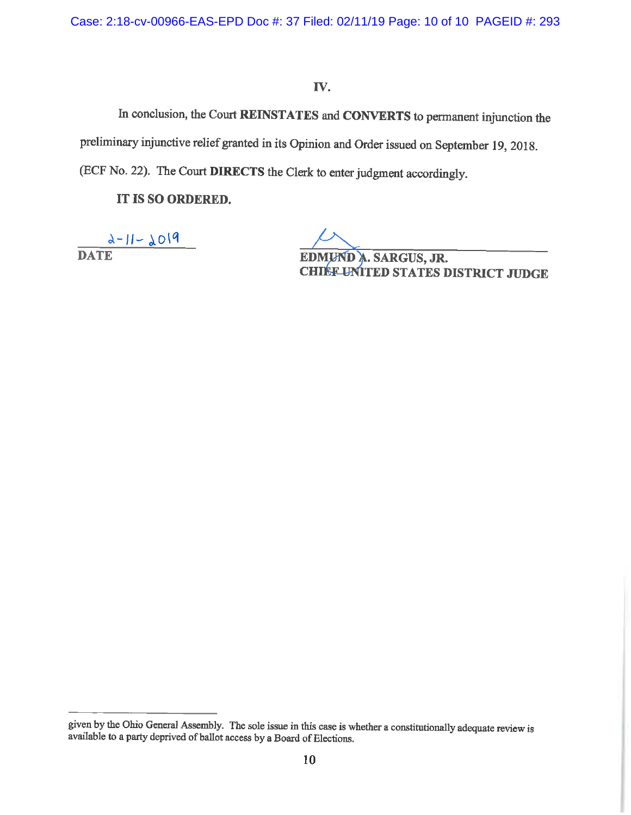Case: 2:18-cv-00966-EAS-EPD Doc #: 37 Filed: 02/11/19 Page: 10 of 10 PAGEID #: 293

# IV.

In conclusion, the Court **REINSTATES** and **CONVERTS** to pennanent injunction the preliminary injunctive relief granted in its Opinion and Order issued on September 19, 2018. (ECF No. 22). The Court **DIRECTS** the Clerk to enter judgment accordingly.

**IT IS SO ORDERED.** 

 $2 - 11 - 2019$ **DATE E** 

**HIEF UNITED STATES DISTRICT JUDGE** 

<sup>g</sup>iven by the Ohio General Assembly. The sole issue in this case is whether a constitutionally adequate review is available to a party deprived of ballot access by a Board of Elections.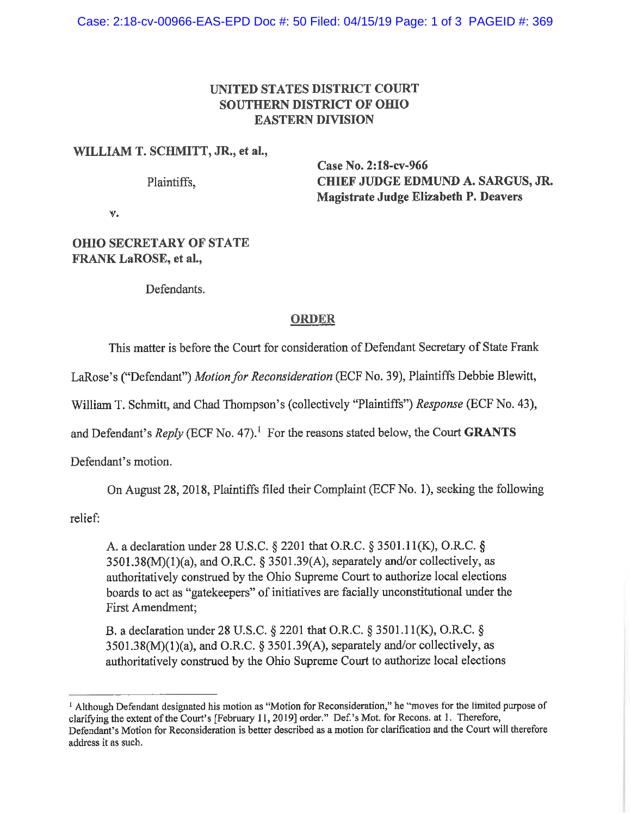# **UNITED STATES DISTRICT COURT SOUTHERN DISTRICT OF OHIO EASTERN DIVISION**

## **WILLIAM T. SCHMITT, JR., et al.,**

Plaintiffs,

**Case No. 2:18-cv-966 CHIEF JUDGE EDMUND A. SARGUS, JR. Magistrate Judge Elizabeth P. Deavers** 

**v.** 

# **OHIO SECRETARY OF STATE FRANK LaROSE, et al.,**

Defendants.

# **ORDER**

This matter is before the Court for consideration of Defendant Secretary of State Frank

LaRose's ("Defendant") *Motion for Reconsideration* (ECF No. 39), Plaintiffs Debbie Blewitt,

William T. Schmitt, and Chad Thompson's (collectively "Plaintiffs") *Response* (ECF No. 43),

and Defendant's  $Reply$  (ECF No. 47).<sup>1</sup> For the reasons stated below, the Court **GRANTS** 

Defendant's motion.

On August 28, 2018, Plaintiffs filed their Complaint (ECF No. I), seeking the following

relief:

A. a declaration under 28 U.S.C. § 2201 that O.R.C. § 3501.1 l(K), O.R.C. §  $3501.38(M)(1)(a)$ , and O.R.C. § 3501.39(A), separately and/or collectively, as authoritatively construed by the Ohio Supreme Court to authorize local elections boards to act as "gatekeepers" of initiatives are facially unconstitutional under the First Amendment;

B. a declaration under 28 U.S.C. § 2201 that O.R.C. § 3501.1 l(K), O.R.C. § 3501.38(M)(I)(a), and O.R.C. § 3501.39(A), separately and/or collectively, as authoritatively construed by the Ohio Supreme Court to authorize local elections

<sup>&</sup>lt;sup>1</sup> Although Defendant designated his motion as "Motion for Reconsideration," he "moves for the limited purpose of clarifying the extent of the Court's [February 11, 2019] order." Def. 's Mot. for Recons. at 1. Therefore, Defendant's Motion for Reconsideration is better described as a motion for clarification and the Court will therefore address it as such.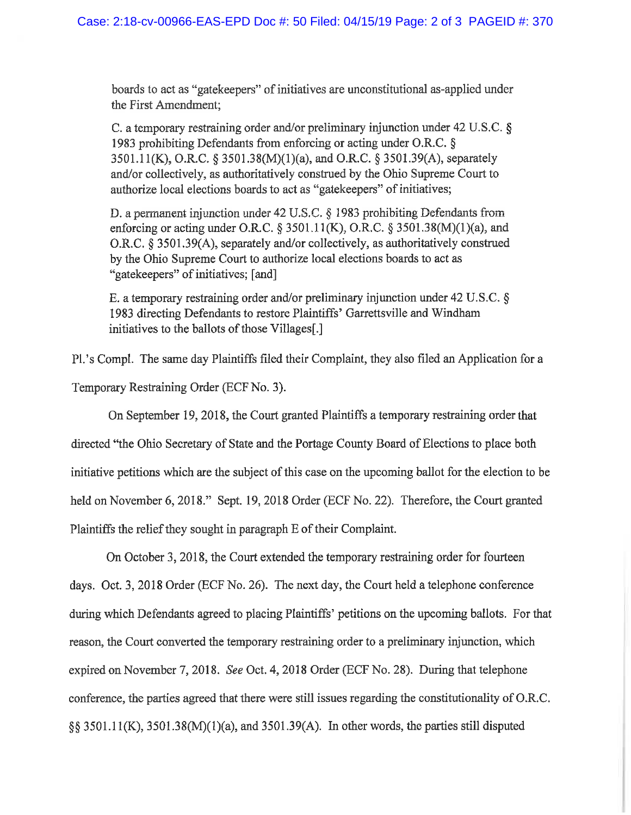boards to act as "gatekeepers" of initiatives are unconstitutional as-applied under the First Amendment;

C. a temporary restraining order and/or preliminary injunction under 42 U.S.C. § 1983 prohibiting Defendants from enforcing or acting under O.R.C. § 3501.ll(K), O.R.C. § 3501.38(M)(l)(a), and O.R.C. § 3501.39(A), separately and/or collectively, as authoritatively construed by the Ohio Supreme Court to authorize local elections boards to act as "gatekeepers" of initiatives;

D. a permanent injunction under 42 U.S.C. § 1983 prohibiting Defendants from enforcing or acting under O.R.C.  $\S 3501.11(K)$ , O.R.C.  $\S 3501.38(M)(1)(a)$ , and O.R.C. § 3501.39(A), separately and/or collectively, as authoritatively construed by the Ohio Supreme Court to authorize local elections boards to act as "gatekeepers" of initiatives; [ and]

E. a temporary restraining order and/or preliminary injunction under 42 U.S.C. § 1983 directing Defendants to restore Plaintiffs' Garrettsville and Windham initiatives to the ballots of those Villages[.]

Pl.'s Compl. The same day Plaintiffs filed their Complaint, they also filed an Application for a Temporary Restraining Order (ECF No. 3).

On September 19, 2018, the Court granted Plaintiffs a temporary restraining order that directed ''the Ohio Secretary of State and the Portage County Board of Elections to place both initiative petitions which are the subject of this case on the upcoming ballot for the election to be held on November 6, 2018." Sept. 19, 2018 Order (ECF No. 22). Therefore, the Court granted Plaintiffs the relief they sought in paragraph E of their Complaint.

On October 3, 2018, the Court extended the temporary restraining order for fourteen days. Oct. 3, 2018 Order (ECF No. 26). The next day, the Court held a telephone conference during which Defendants agreed to placing Plaintiffs' petitions on the upcoming ballots. For that reason, the Court converted the temporary restraining order to a preliminary injunction, which expired on November 7, 2018. *See* Oct. 4, 2018 Order (ECF No. 28). During that telephone conference, the parties agreed that there were still issues regarding the constitutionality of O.R.C. §§ 3501.1 l(K), 3501.38(M)(l)(a), and 3501.39(A). In other words, the parties still disputed